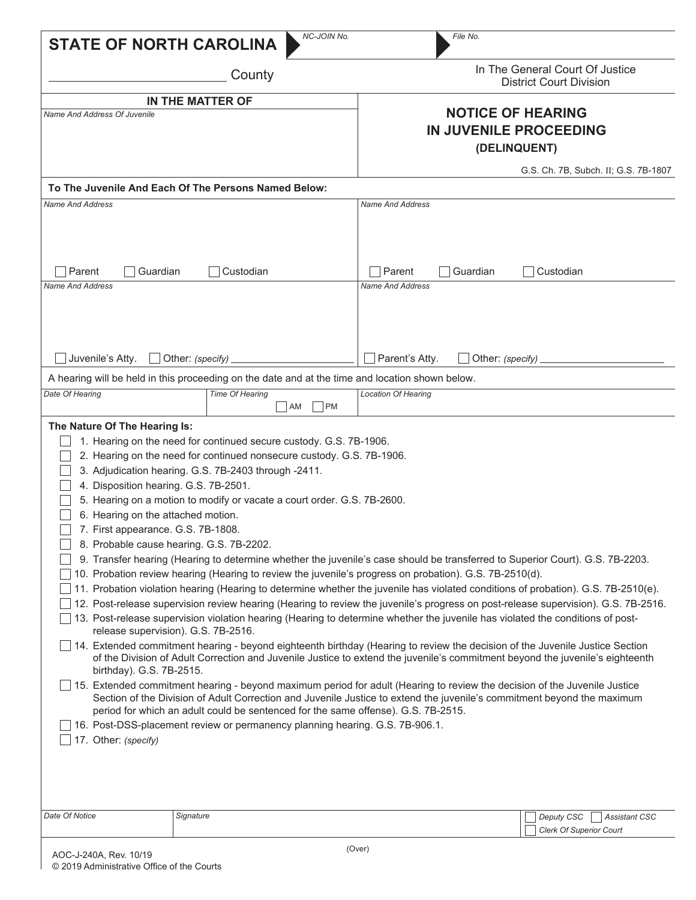| <b>STATE OF NORTH CAROLINA</b>                                                                                                                                                                                                                                                                              | NC-JOIN No.                                                                                                                                                                                                                                                                                                                                                                                                                                                                                                                                                                                                                                                                                                                                                                                                                                                                                                                                                                                                                                                                                                                                                                                                                                                                                                                                                                                                                                                                                                                                                                                                                            | File No.                                                           |                                                                      |  |  |
|-------------------------------------------------------------------------------------------------------------------------------------------------------------------------------------------------------------------------------------------------------------------------------------------------------------|----------------------------------------------------------------------------------------------------------------------------------------------------------------------------------------------------------------------------------------------------------------------------------------------------------------------------------------------------------------------------------------------------------------------------------------------------------------------------------------------------------------------------------------------------------------------------------------------------------------------------------------------------------------------------------------------------------------------------------------------------------------------------------------------------------------------------------------------------------------------------------------------------------------------------------------------------------------------------------------------------------------------------------------------------------------------------------------------------------------------------------------------------------------------------------------------------------------------------------------------------------------------------------------------------------------------------------------------------------------------------------------------------------------------------------------------------------------------------------------------------------------------------------------------------------------------------------------------------------------------------------------|--------------------------------------------------------------------|----------------------------------------------------------------------|--|--|
|                                                                                                                                                                                                                                                                                                             | County                                                                                                                                                                                                                                                                                                                                                                                                                                                                                                                                                                                                                                                                                                                                                                                                                                                                                                                                                                                                                                                                                                                                                                                                                                                                                                                                                                                                                                                                                                                                                                                                                                 |                                                                    | In The General Court Of Justice<br><b>District Court Division</b>    |  |  |
| <b>Name And Address Of Juvenile</b>                                                                                                                                                                                                                                                                         | IN THE MATTER OF                                                                                                                                                                                                                                                                                                                                                                                                                                                                                                                                                                                                                                                                                                                                                                                                                                                                                                                                                                                                                                                                                                                                                                                                                                                                                                                                                                                                                                                                                                                                                                                                                       | <b>NOTICE OF HEARING</b><br>IN JUVENILE PROCEEDING<br>(DELINQUENT) |                                                                      |  |  |
|                                                                                                                                                                                                                                                                                                             | To The Juvenile And Each Of The Persons Named Below:                                                                                                                                                                                                                                                                                                                                                                                                                                                                                                                                                                                                                                                                                                                                                                                                                                                                                                                                                                                                                                                                                                                                                                                                                                                                                                                                                                                                                                                                                                                                                                                   |                                                                    | G.S. Ch. 7B, Subch. II; G.S. 7B-1807                                 |  |  |
| <b>Name And Address</b>                                                                                                                                                                                                                                                                                     |                                                                                                                                                                                                                                                                                                                                                                                                                                                                                                                                                                                                                                                                                                                                                                                                                                                                                                                                                                                                                                                                                                                                                                                                                                                                                                                                                                                                                                                                                                                                                                                                                                        | <b>Name And Address</b>                                            |                                                                      |  |  |
| Parent<br>Guardian<br>Custodian<br><b>Name And Address</b>                                                                                                                                                                                                                                                  |                                                                                                                                                                                                                                                                                                                                                                                                                                                                                                                                                                                                                                                                                                                                                                                                                                                                                                                                                                                                                                                                                                                                                                                                                                                                                                                                                                                                                                                                                                                                                                                                                                        | Parent<br>Guardian<br>Custodian<br><b>Name And Address</b>         |                                                                      |  |  |
| Juvenile's Atty.                                                                                                                                                                                                                                                                                            | Other: (specify)                                                                                                                                                                                                                                                                                                                                                                                                                                                                                                                                                                                                                                                                                                                                                                                                                                                                                                                                                                                                                                                                                                                                                                                                                                                                                                                                                                                                                                                                                                                                                                                                                       | Parent's Atty.<br>Other: (specify)                                 |                                                                      |  |  |
| A hearing will be held in this proceeding on the date and at the time and location shown below.                                                                                                                                                                                                             |                                                                                                                                                                                                                                                                                                                                                                                                                                                                                                                                                                                                                                                                                                                                                                                                                                                                                                                                                                                                                                                                                                                                                                                                                                                                                                                                                                                                                                                                                                                                                                                                                                        |                                                                    |                                                                      |  |  |
| Date Of Hearing                                                                                                                                                                                                                                                                                             | Time Of Hearing<br>PM<br>AM                                                                                                                                                                                                                                                                                                                                                                                                                                                                                                                                                                                                                                                                                                                                                                                                                                                                                                                                                                                                                                                                                                                                                                                                                                                                                                                                                                                                                                                                                                                                                                                                            | <b>Location Of Hearing</b>                                         |                                                                      |  |  |
| The Nature Of The Hearing Is:<br>4. Disposition hearing. G.S. 7B-2501.<br>6. Hearing on the attached motion.<br>7. First appearance. G.S. 7B-1808.<br>8. Probable cause hearing. G.S. 7B-2202.<br>release supervision). G.S. 7B-2516.<br>birthday). G.S. 7B-2515.<br>17. Other: (specify)<br>Date Of Notice | 1. Hearing on the need for continued secure custody. G.S. 7B-1906.<br>2. Hearing on the need for continued nonsecure custody. G.S. 7B-1906.<br>3. Adjudication hearing. G.S. 7B-2403 through -2411.<br>5. Hearing on a motion to modify or vacate a court order. G.S. 7B-2600.<br>9. Transfer hearing (Hearing to determine whether the juvenile's case should be transferred to Superior Court). G.S. 7B-2203.<br>10. Probation review hearing (Hearing to review the juvenile's progress on probation). G.S. 7B-2510(d).<br>11. Probation violation hearing (Hearing to determine whether the juvenile has violated conditions of probation). G.S. 7B-2510(e).<br>12. Post-release supervision review hearing (Hearing to review the juvenile's progress on post-release supervision). G.S. 7B-2516.<br>13. Post-release supervision violation hearing (Hearing to determine whether the juvenile has violated the conditions of post-<br>14. Extended commitment hearing - beyond eighteenth birthday (Hearing to review the decision of the Juvenile Justice Section<br>of the Division of Adult Correction and Juvenile Justice to extend the juvenile's commitment beyond the juvenile's eighteenth<br>15. Extended commitment hearing - beyond maximum period for adult (Hearing to review the decision of the Juvenile Justice<br>Section of the Division of Adult Correction and Juvenile Justice to extend the juvenile's commitment beyond the maximum<br>period for which an adult could be sentenced for the same offense). G.S. 7B-2515.<br>16. Post-DSS-placement review or permanency planning hearing. G.S. 7B-906.1. |                                                                    |                                                                      |  |  |
|                                                                                                                                                                                                                                                                                                             | Signature                                                                                                                                                                                                                                                                                                                                                                                                                                                                                                                                                                                                                                                                                                                                                                                                                                                                                                                                                                                                                                                                                                                                                                                                                                                                                                                                                                                                                                                                                                                                                                                                                              |                                                                    | Deputy CSC<br><b>Assistant CSC</b><br><b>Clerk Of Superior Court</b> |  |  |